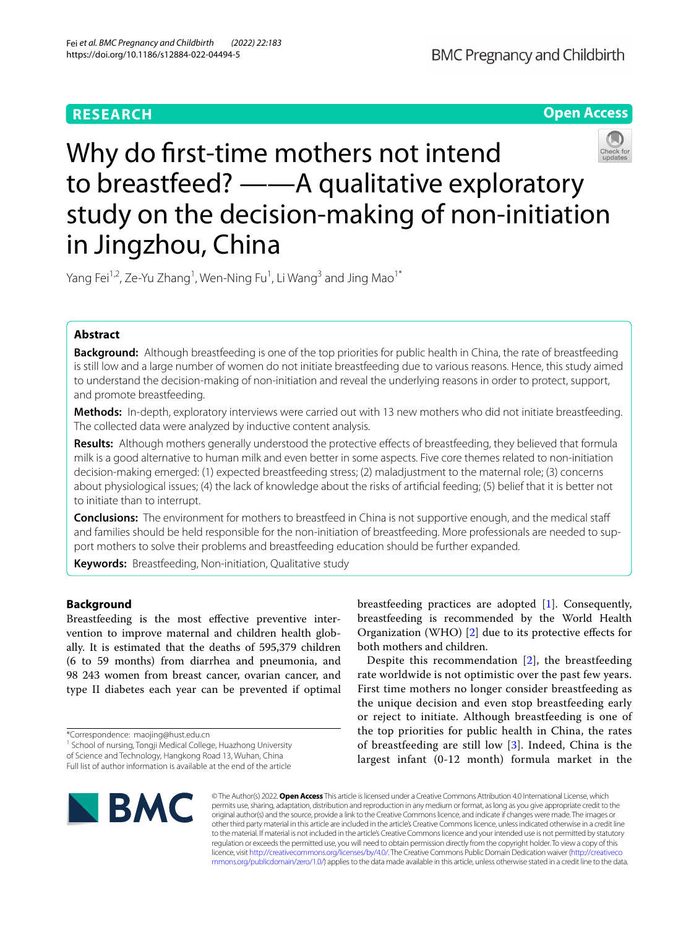# **RESEARCH**

**Open Access**

# Why do frst-time mothers not intend to breastfeed? ——A qualitative exploratory study on the decision-making of non-initiation in Jingzhou, China

Yang Fei<sup>1,2</sup>, Ze-Yu Zhang<sup>1</sup>, Wen-Ning Fu<sup>1</sup>, Li Wang<sup>3</sup> and Jing Mao<sup>1\*</sup>

# **Abstract**

**Background:** Although breastfeeding is one of the top priorities for public health in China, the rate of breastfeeding is still low and a large number of women do not initiate breastfeeding due to various reasons. Hence, this study aimed to understand the decision-making of non-initiation and reveal the underlying reasons in order to protect, support, and promote breastfeeding.

**Methods:** In-depth, exploratory interviews were carried out with 13 new mothers who did not initiate breastfeeding. The collected data were analyzed by inductive content analysis.

**Results:** Although mothers generally understood the protective efects of breastfeeding, they believed that formula milk is a good alternative to human milk and even better in some aspects. Five core themes related to non-initiation decision-making emerged: (1) expected breastfeeding stress; (2) maladjustment to the maternal role; (3) concerns about physiological issues; (4) the lack of knowledge about the risks of artifcial feeding; (5) belief that it is better not to initiate than to interrupt.

**Conclusions:** The environment for mothers to breastfeed in China is not supportive enough, and the medical staf and families should be held responsible for the non-initiation of breastfeeding. More professionals are needed to support mothers to solve their problems and breastfeeding education should be further expanded.

**Keywords:** Breastfeeding, Non-initiation, Qualitative study

## **Background**

Breastfeeding is the most efective preventive intervention to improve maternal and children health globally. It is estimated that the deaths of 595,379 children (6 to 59 months) from diarrhea and pneumonia, and 98 243 women from breast cancer, ovarian cancer, and type II diabetes each year can be prevented if optimal

<sup>1</sup> School of nursing, Tongji Medical College, Huazhong University of Science and Technology, Hangkong Road 13, Wuhan, China Full list of author information is available at the end of the article

breastfeeding practices are adopted [\[1](#page-7-0)]. Consequently, breastfeeding is recommended by the World Health Organization (WHO) [\[2\]](#page-7-1) due to its protective efects for both mothers and children.

Despite this recommendation [[2](#page-7-1)], the breastfeeding rate worldwide is not optimistic over the past few years. First time mothers no longer consider breastfeeding as the unique decision and even stop breastfeeding early or reject to initiate. Although breastfeeding is one of the top priorities for public health in China, the rates of breastfeeding are still low  $[3]$  $[3]$ . Indeed, China is the largest infant (0-12 month) formula market in the



© The Author(s) 2022. **Open Access** This article is licensed under a Creative Commons Attribution 4.0 International License, which permits use, sharing, adaptation, distribution and reproduction in any medium or format, as long as you give appropriate credit to the original author(s) and the source, provide a link to the Creative Commons licence, and indicate if changes were made. The images or other third party material in this article are included in the article's Creative Commons licence, unless indicated otherwise in a credit line to the material. If material is not included in the article's Creative Commons licence and your intended use is not permitted by statutory regulation or exceeds the permitted use, you will need to obtain permission directly from the copyright holder. To view a copy of this licence, visit [http://creativecommons.org/licenses/by/4.0/.](http://creativecommons.org/licenses/by/4.0/) The Creative Commons Public Domain Dedication waiver ([http://creativeco](http://creativecommons.org/publicdomain/zero/1.0/) [mmons.org/publicdomain/zero/1.0/](http://creativecommons.org/publicdomain/zero/1.0/)) applies to the data made available in this article, unless otherwise stated in a credit line to the data.

<sup>\*</sup>Correspondence: maojing@hust.edu.cn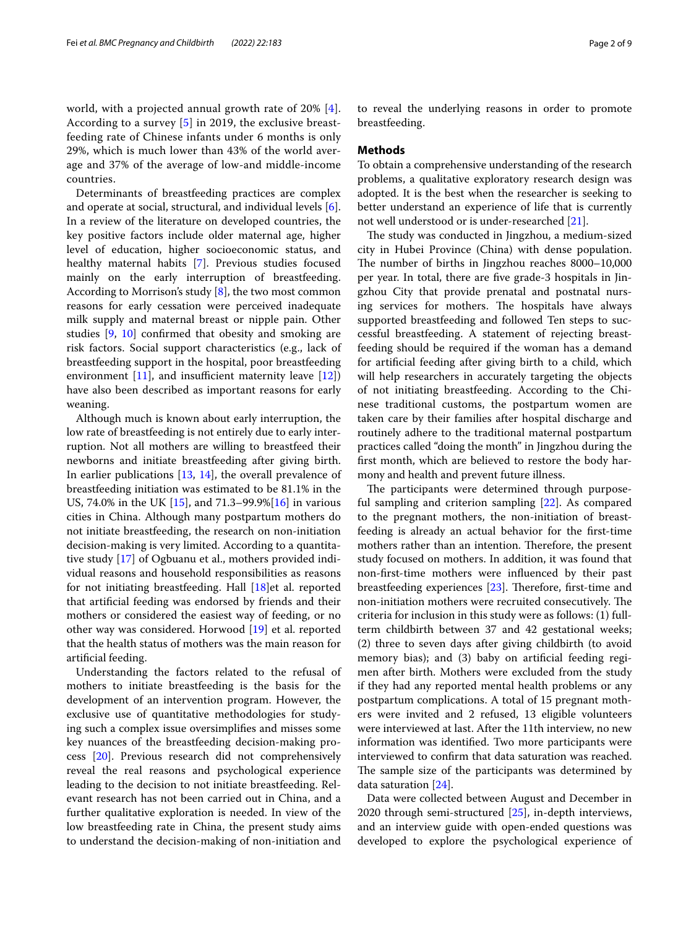Determinants of breastfeeding practices are complex and operate at social, structural, and individual levels [\[6](#page-7-5)]. In a review of the literature on developed countries, the key positive factors include older maternal age, higher level of education, higher socioeconomic status, and healthy maternal habits [[7\]](#page-7-6). Previous studies focused mainly on the early interruption of breastfeeding. According to Morrison's study [[8\]](#page-7-7), the two most common reasons for early cessation were perceived inadequate milk supply and maternal breast or nipple pain. Other studies [\[9](#page-7-8), [10](#page-7-9)] confrmed that obesity and smoking are risk factors. Social support characteristics (e.g., lack of breastfeeding support in the hospital, poor breastfeeding environment  $[11]$  $[11]$ , and insufficient maternity leave  $[12]$  $[12]$ ) have also been described as important reasons for early weaning.

Although much is known about early interruption, the low rate of breastfeeding is not entirely due to early interruption. Not all mothers are willing to breastfeed their newborns and initiate breastfeeding after giving birth. In earlier publications [\[13](#page-8-1), [14\]](#page-8-2), the overall prevalence of breastfeeding initiation was estimated to be 81.1% in the US, 74.0% in the UK [[15](#page-8-3)], and 71.3–99.9%[[16\]](#page-8-4) in various cities in China. Although many postpartum mothers do not initiate breastfeeding, the research on non-initiation decision-making is very limited. According to a quantitative study [\[17](#page-8-5)] of Ogbuanu et al., mothers provided individual reasons and household responsibilities as reasons for not initiating breastfeeding. Hall [[18\]](#page-8-6)et al. reported that artifcial feeding was endorsed by friends and their mothers or considered the easiest way of feeding, or no other way was considered. Horwood [\[19](#page-8-7)] et al. reported that the health status of mothers was the main reason for artifcial feeding.

Understanding the factors related to the refusal of mothers to initiate breastfeeding is the basis for the development of an intervention program. However, the exclusive use of quantitative methodologies for studying such a complex issue oversimplifes and misses some key nuances of the breastfeeding decision-making process [[20\]](#page-8-8). Previous research did not comprehensively reveal the real reasons and psychological experience leading to the decision to not initiate breastfeeding. Relevant research has not been carried out in China, and a further qualitative exploration is needed. In view of the low breastfeeding rate in China, the present study aims to understand the decision-making of non-initiation and to reveal the underlying reasons in order to promote breastfeeding.

## **Methods**

To obtain a comprehensive understanding of the research problems, a qualitative exploratory research design was adopted. It is the best when the researcher is seeking to better understand an experience of life that is currently not well understood or is under-researched [[21](#page-8-9)].

The study was conducted in Jingzhou, a medium-sized city in Hubei Province (China) with dense population. The number of births in Jingzhou reaches 8000–10,000 per year. In total, there are fve grade-3 hospitals in Jingzhou City that provide prenatal and postnatal nursing services for mothers. The hospitals have always supported breastfeeding and followed Ten steps to successful breastfeeding. A statement of rejecting breastfeeding should be required if the woman has a demand for artifcial feeding after giving birth to a child, which will help researchers in accurately targeting the objects of not initiating breastfeeding. According to the Chinese traditional customs, the postpartum women are taken care by their families after hospital discharge and routinely adhere to the traditional maternal postpartum practices called "doing the month" in Jingzhou during the frst month, which are believed to restore the body harmony and health and prevent future illness.

The participants were determined through purposeful sampling and criterion sampling [[22](#page-8-10)]. As compared to the pregnant mothers, the non-initiation of breastfeeding is already an actual behavior for the frst-time mothers rather than an intention. Therefore, the present study focused on mothers. In addition, it was found that non-frst-time mothers were infuenced by their past breastfeeding experiences [[23\]](#page-8-11). Therefore, first-time and non-initiation mothers were recruited consecutively. The criteria for inclusion in this study were as follows: (1) fullterm childbirth between 37 and 42 gestational weeks; (2) three to seven days after giving childbirth (to avoid memory bias); and (3) baby on artifcial feeding regimen after birth. Mothers were excluded from the study if they had any reported mental health problems or any postpartum complications. A total of 15 pregnant mothers were invited and 2 refused, 13 eligible volunteers were interviewed at last. After the 11th interview, no new information was identifed. Two more participants were interviewed to confrm that data saturation was reached. The sample size of the participants was determined by data saturation [\[24](#page-8-12)].

Data were collected between August and December in 2020 through semi-structured [\[25](#page-8-13)], in-depth interviews, and an interview guide with open-ended questions was developed to explore the psychological experience of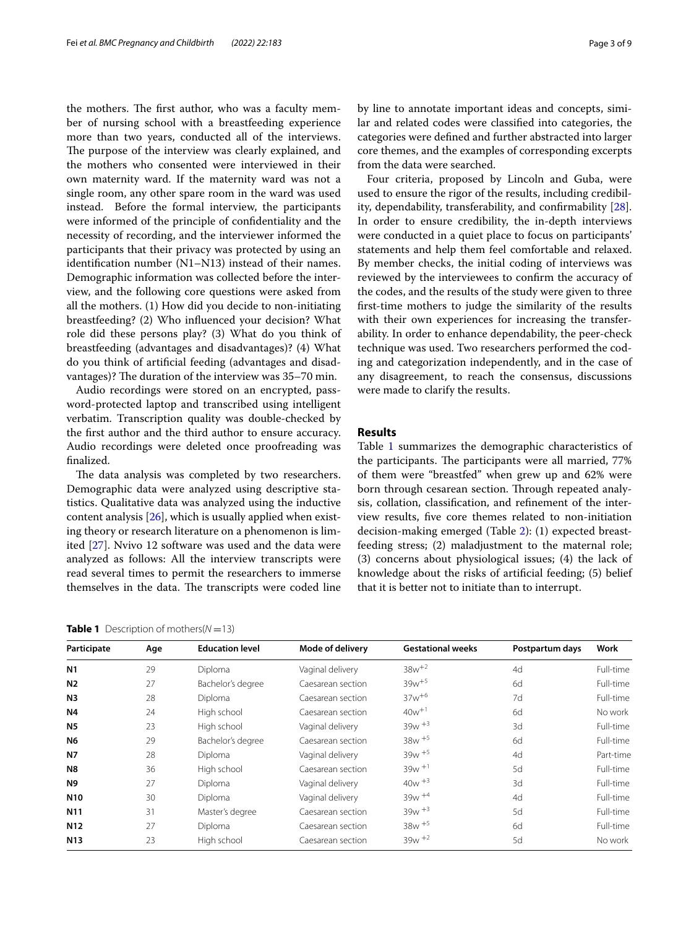the mothers. The first author, who was a faculty member of nursing school with a breastfeeding experience more than two years, conducted all of the interviews. The purpose of the interview was clearly explained, and the mothers who consented were interviewed in their own maternity ward. If the maternity ward was not a single room, any other spare room in the ward was used instead. Before the formal interview, the participants were informed of the principle of confdentiality and the necessity of recording, and the interviewer informed the participants that their privacy was protected by using an identifcation number (N1–N13) instead of their names. Demographic information was collected before the interview, and the following core questions were asked from all the mothers. (1) How did you decide to non-initiating breastfeeding? (2) Who infuenced your decision? What role did these persons play? (3) What do you think of breastfeeding (advantages and disadvantages)? (4) What do you think of artifcial feeding (advantages and disadvantages)? The duration of the interview was  $35-70$  min.

Audio recordings were stored on an encrypted, password-protected laptop and transcribed using intelligent verbatim. Transcription quality was double-checked by the frst author and the third author to ensure accuracy. Audio recordings were deleted once proofreading was fnalized.

The data analysis was completed by two researchers. Demographic data were analyzed using descriptive statistics. Qualitative data was analyzed using the inductive content analysis [\[26](#page-8-14)], which is usually applied when existing theory or research literature on a phenomenon is limited [[27](#page-8-15)]. Nvivo 12 software was used and the data were analyzed as follows: All the interview transcripts were read several times to permit the researchers to immerse themselves in the data. The transcripts were coded line

<span id="page-2-0"></span>

| <b>Table 1</b> Description of mothers( $N = 13$ ) |  |
|---------------------------------------------------|--|
|---------------------------------------------------|--|

by line to annotate important ideas and concepts, similar and related codes were classifed into categories, the categories were defned and further abstracted into larger core themes, and the examples of corresponding excerpts from the data were searched.

Four criteria, proposed by Lincoln and Guba, were used to ensure the rigor of the results, including credibility, dependability, transferability, and confrmability [\[28](#page-8-16)]. In order to ensure credibility, the in-depth interviews were conducted in a quiet place to focus on participants' statements and help them feel comfortable and relaxed. By member checks, the initial coding of interviews was reviewed by the interviewees to confrm the accuracy of the codes, and the results of the study were given to three frst-time mothers to judge the similarity of the results with their own experiences for increasing the transferability. In order to enhance dependability, the peer-check technique was used. Two researchers performed the coding and categorization independently, and in the case of any disagreement, to reach the consensus, discussions were made to clarify the results.

## **Results**

Table [1](#page-2-0) summarizes the demographic characteristics of the participants. The participants were all married, 77% of them were "breastfed" when grew up and 62% were born through cesarean section. Through repeated analysis, collation, classifcation, and refnement of the interview results, fve core themes related to non-initiation decision-making emerged (Table [2\)](#page-3-0): (1) expected breastfeeding stress; (2) maladjustment to the maternal role; (3) concerns about physiological issues; (4) the lack of knowledge about the risks of artifcial feeding; (5) belief that it is better not to initiate than to interrupt.

| Participate      | Age | <b>Education level</b> | Mode of delivery  | <b>Gestational weeks</b> | Postpartum days | Work      |
|------------------|-----|------------------------|-------------------|--------------------------|-----------------|-----------|
| N <sub>1</sub>   | 29  | Diploma                | Vaginal delivery  | $38w^{+2}$               | 4d              | Full-time |
| N <sub>2</sub>   | 27  | Bachelor's degree      | Caesarean section | $39w^{+5}$               | 6d              | Full-time |
| N <sub>3</sub>   | 28  | Diploma                | Caesarean section | $37w^{+6}$               | 7d              | Full-time |
| <b>N4</b>        | 24  | High school            | Caesarean section | $40w^{+1}$               | 6d              | No work   |
| <b>N5</b>        | 23  | High school            | Vaginal delivery  | $39w + 3$                | 3d              | Full-time |
| N6               | 29  | Bachelor's degree      | Caesarean section | $38w + 5$                | 6d              | Full-time |
| <b>N7</b>        | 28  | Diploma                | Vaginal delivery  | $39w + 5$                | 4d              | Part-time |
| N8               | 36  | High school            | Caesarean section | $39w + 1$                | 5d              | Full-time |
| <b>N9</b>        | 27  | Diploma                | Vaginal delivery  | $40w + 3$                | 3d              | Full-time |
| <b>N10</b>       | 30  | Diploma                | Vaginal delivery  | $39w + 4$                | 4d              | Full-time |
| N <sub>1</sub> 1 | 31  | Master's degree        | Caesarean section | $39w + 3$                | 5d              | Full-time |
| N <sub>12</sub>  | 27  | Diploma                | Caesarean section | $38w + 5$                | 6d              | Full-time |
| <b>N13</b>       | 23  | High school            | Caesarean section | $39w + 2$                | 5d              | No work   |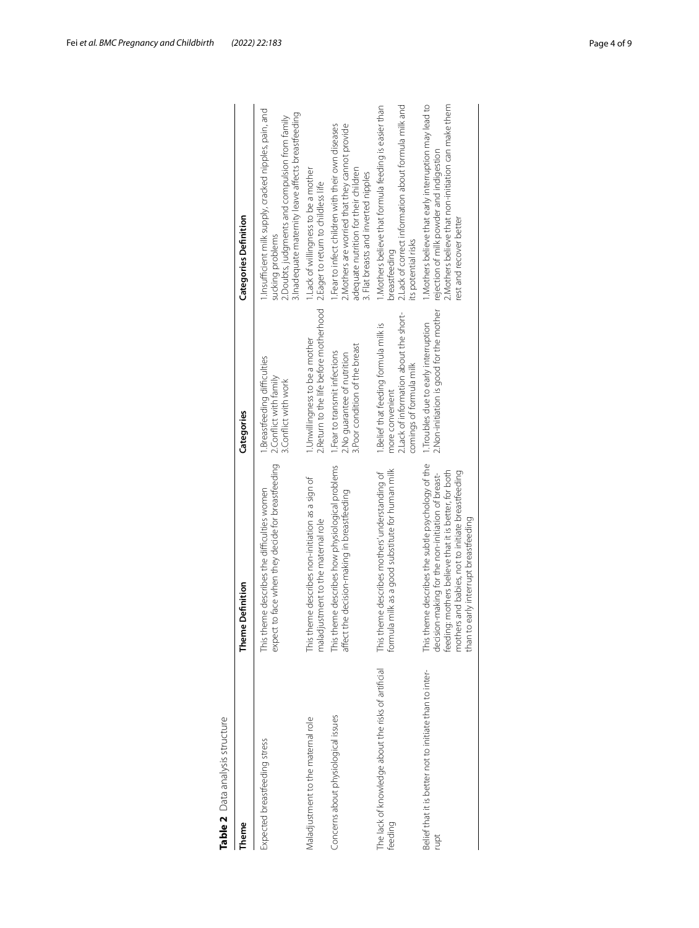| Table 2 Data analysis structure                                 |                                                                                                                                                                                                                                                              |                                                                                                                                 |                                                                                                                                                                                      |
|-----------------------------------------------------------------|--------------------------------------------------------------------------------------------------------------------------------------------------------------------------------------------------------------------------------------------------------------|---------------------------------------------------------------------------------------------------------------------------------|--------------------------------------------------------------------------------------------------------------------------------------------------------------------------------------|
| heme                                                            | Theme Definition                                                                                                                                                                                                                                             | Categories                                                                                                                      | <b>Categories Definition</b>                                                                                                                                                         |
| Expected breastfeeding stress                                   | expect to face when they decide for breastfeeding<br>This theme describes the difficulties women                                                                                                                                                             | Breastfeeding difficulties<br>2.Conflict with family<br>3. Conflict with work                                                   | 1.Insufficient milk supply, cracked nipples, pain, and<br>3. Inadequate maternity leave affects breastfeeding<br>2. Doubts, judgments and compulsion from family<br>sucking problems |
| Maladjustment to the maternal role                              | neme describes non-initiation as a sign of<br>maladjustment to the maternal role<br>This th                                                                                                                                                                  | 2. Return to the life before motherhood<br>Unwillingness to be a mother                                                         | Lack of willingness to be a mother<br>2. Eager to return to childless life                                                                                                           |
| Concerns about physiological issues                             | This theme describes how physiological problems<br>the decision-making in breastfeeding<br>affect                                                                                                                                                            | 3. Poor condition of the breast<br>1. Fear to transmit infections<br>2. No quarantee of nutrition                               | .Fear to infect children with their own diseases<br>Mothers are worried that they cannot provide<br>adequate nutrition for their children<br>. Flat breasts and inverted nipples     |
| The lack of knowledge about the risks of artificial<br>feeding  | formula milk as a good substitute for human milk<br>This theme describes mothers' understanding of                                                                                                                                                           | 2. Lack of information about the short-<br>1. Belief that feeding formula milk is<br>comings of formula milk<br>more convenient | 2. Lack of correct information about formula milk and<br>1. Mothers believe that formula feeding is easier than<br>its potential risks<br>breastteeding                              |
| Belief that it is better not to initiate than to inter-<br>rupt | This theme describes the subtle psychology of the<br>mothers and babies, not to initiate breastfeeding<br>feeding: mothers believe that it is better, for both<br>decision-making for the non-initiation of breast-<br>than to early interrupt breastfeeding | 2. Non-initiation is good for the mother<br>1. Troubles due to early interruption                                               | Mothers believe that early interruption may lead to<br>2. Mothers believe that non-initiation can make them<br>rejection of milk powder and indigestion<br>rest and recover better   |
|                                                                 |                                                                                                                                                                                                                                                              |                                                                                                                                 |                                                                                                                                                                                      |

<span id="page-3-0"></span>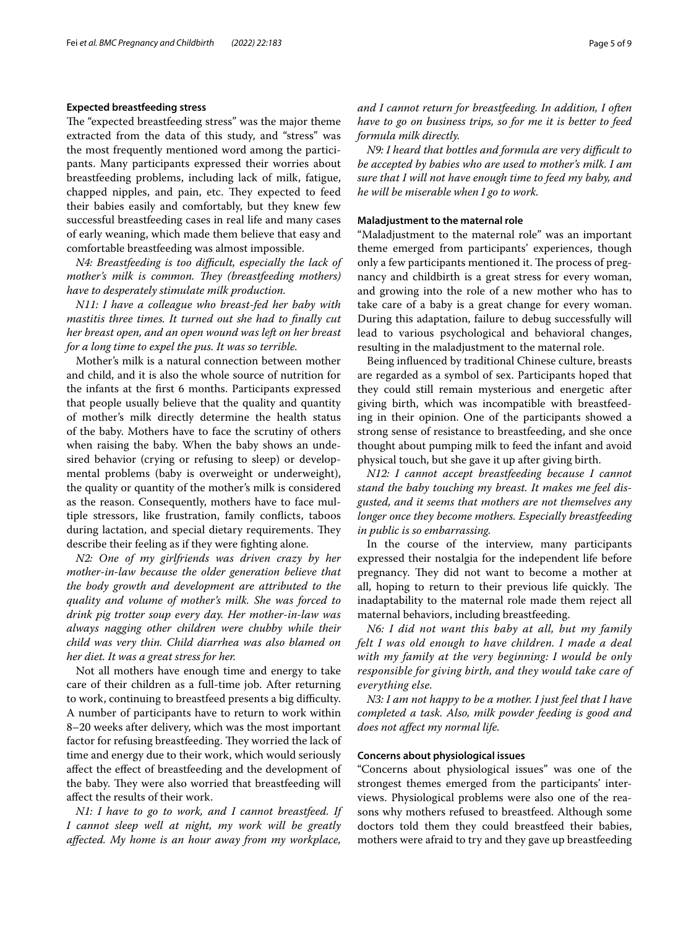## **Expected breastfeeding stress**

The "expected breastfeeding stress" was the major theme extracted from the data of this study, and "stress" was the most frequently mentioned word among the participants. Many participants expressed their worries about breastfeeding problems, including lack of milk, fatigue, chapped nipples, and pain, etc. They expected to feed their babies easily and comfortably, but they knew few successful breastfeeding cases in real life and many cases of early weaning, which made them believe that easy and comfortable breastfeeding was almost impossible.

*N4: Breastfeeding is too difficult, especially the lack of mother's milk is common. They (breastfeeding mothers) have to desperately stimulate milk production.*

*N11: I have a colleague who breast-fed her baby with mastitis three times. It turned out she had to fnally cut her breast open, and an open wound was left on her breast for a long time to expel the pus. It was so terrible.*

Mother's milk is a natural connection between mother and child, and it is also the whole source of nutrition for the infants at the frst 6 months. Participants expressed that people usually believe that the quality and quantity of mother's milk directly determine the health status of the baby. Mothers have to face the scrutiny of others when raising the baby. When the baby shows an undesired behavior (crying or refusing to sleep) or developmental problems (baby is overweight or underweight), the quality or quantity of the mother's milk is considered as the reason. Consequently, mothers have to face multiple stressors, like frustration, family conficts, taboos during lactation, and special dietary requirements. They describe their feeling as if they were fghting alone.

*N2: One of my girlfriends was driven crazy by her mother-in-law because the older generation believe that the body growth and development are attributed to the quality and volume of mother's milk. She was forced to drink pig trotter soup every day. Her mother-in-law was always nagging other children were chubby while their child was very thin. Child diarrhea was also blamed on her diet. It was a great stress for her.*

Not all mothers have enough time and energy to take care of their children as a full-time job. After returning to work, continuing to breastfeed presents a big difficulty. A number of participants have to return to work within 8–20 weeks after delivery, which was the most important factor for refusing breastfeeding. They worried the lack of time and energy due to their work, which would seriously afect the efect of breastfeeding and the development of the baby. They were also worried that breastfeeding will afect the results of their work.

*N1: I have to go to work, and I cannot breastfeed. If I cannot sleep well at night, my work will be greatly afected. My home is an hour away from my workplace,* 

*and I cannot return for breastfeeding. In addition, I often have to go on business trips, so for me it is better to feed formula milk directly.*

*N9: I heard that bottles and formula are very difcult to be accepted by babies who are used to mother's milk. I am sure that I will not have enough time to feed my baby, and he will be miserable when I go to work.*

## **Maladjustment to the maternal role**

"Maladjustment to the maternal role" was an important theme emerged from participants' experiences, though only a few participants mentioned it. The process of pregnancy and childbirth is a great stress for every woman, and growing into the role of a new mother who has to take care of a baby is a great change for every woman. During this adaptation, failure to debug successfully will lead to various psychological and behavioral changes, resulting in the maladjustment to the maternal role.

Being infuenced by traditional Chinese culture, breasts are regarded as a symbol of sex. Participants hoped that they could still remain mysterious and energetic after giving birth, which was incompatible with breastfeeding in their opinion. One of the participants showed a strong sense of resistance to breastfeeding, and she once thought about pumping milk to feed the infant and avoid physical touch, but she gave it up after giving birth.

*N12: I cannot accept breastfeeding because I cannot stand the baby touching my breast. It makes me feel disgusted, and it seems that mothers are not themselves any longer once they become mothers. Especially breastfeeding in public is so embarrassing.*

In the course of the interview, many participants expressed their nostalgia for the independent life before pregnancy. They did not want to become a mother at all, hoping to return to their previous life quickly. The inadaptability to the maternal role made them reject all maternal behaviors, including breastfeeding.

*N6: I did not want this baby at all, but my family felt I was old enough to have children. I made a deal with my family at the very beginning: I would be only responsible for giving birth, and they would take care of everything else.*

*N3: I am not happy to be a mother. I just feel that I have completed a task. Also, milk powder feeding is good and does not afect my normal life.*

## **Concerns about physiological issues**

"Concerns about physiological issues" was one of the strongest themes emerged from the participants' interviews. Physiological problems were also one of the reasons why mothers refused to breastfeed. Although some doctors told them they could breastfeed their babies, mothers were afraid to try and they gave up breastfeeding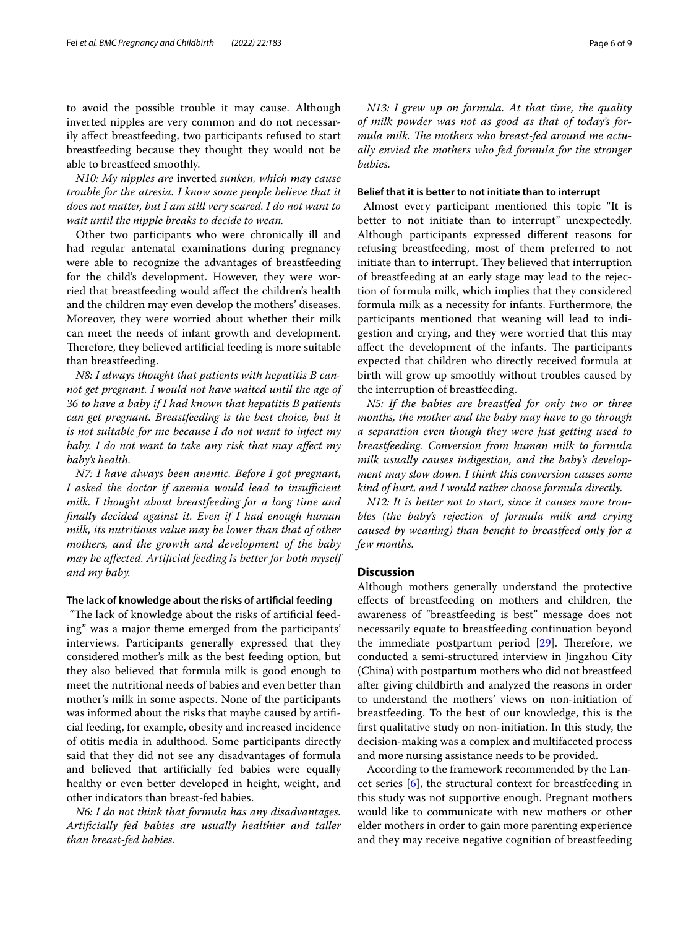to avoid the possible trouble it may cause. Although inverted nipples are very common and do not necessarily afect breastfeeding, two participants refused to start breastfeeding because they thought they would not be able to breastfeed smoothly.

*N10: My nipples are* inverted *sunken, which may cause trouble for the atresia. I know some people believe that it does not matter, but I am still very scared. I do not want to wait until the nipple breaks to decide to wean.*

Other two participants who were chronically ill and had regular antenatal examinations during pregnancy were able to recognize the advantages of breastfeeding for the child's development. However, they were worried that breastfeeding would afect the children's health and the children may even develop the mothers' diseases. Moreover, they were worried about whether their milk can meet the needs of infant growth and development. Therefore, they believed artificial feeding is more suitable than breastfeeding.

*N8: I always thought that patients with hepatitis B cannot get pregnant. I would not have waited until the age of 36 to have a baby if I had known that hepatitis B patients can get pregnant. Breastfeeding is the best choice, but it is not suitable for me because I do not want to infect my baby. I do not want to take any risk that may afect my baby's health.*

*N7: I have always been anemic. Before I got pregnant,*  I asked the doctor if anemia would lead to insufficient *milk. I thought about breastfeeding for a long time and fnally decided against it. Even if I had enough human milk, its nutritious value may be lower than that of other mothers, and the growth and development of the baby may be afected. Artifcial feeding is better for both myself and my baby.*

## **The lack of knowledge about the risks of artifcial feeding**

"The lack of knowledge about the risks of artificial feeding" was a major theme emerged from the participants' interviews. Participants generally expressed that they considered mother's milk as the best feeding option, but they also believed that formula milk is good enough to meet the nutritional needs of babies and even better than mother's milk in some aspects. None of the participants was informed about the risks that maybe caused by artifcial feeding, for example, obesity and increased incidence of otitis media in adulthood. Some participants directly said that they did not see any disadvantages of formula and believed that artifcially fed babies were equally healthy or even better developed in height, weight, and other indicators than breast-fed babies.

*N6: I do not think that formula has any disadvantages. Artifcially fed babies are usually healthier and taller than breast-fed babies.*

*N13: I grew up on formula. At that time, the quality of milk powder was not as good as that of today's for*mula milk. The mothers who breast-fed around me actu*ally envied the mothers who fed formula for the stronger babies.*

## **Belief that it is better to not initiate than to interrupt**

 Almost every participant mentioned this topic "It is better to not initiate than to interrupt" unexpectedly. Although participants expressed diferent reasons for refusing breastfeeding, most of them preferred to not initiate than to interrupt. They believed that interruption of breastfeeding at an early stage may lead to the rejection of formula milk, which implies that they considered formula milk as a necessity for infants. Furthermore, the participants mentioned that weaning will lead to indigestion and crying, and they were worried that this may affect the development of the infants. The participants expected that children who directly received formula at birth will grow up smoothly without troubles caused by the interruption of breastfeeding.

*N5: If the babies are breastfed for only two or three months, the mother and the baby may have to go through a separation even though they were just getting used to breastfeeding. Conversion from human milk to formula milk usually causes indigestion, and the baby's development may slow down. I think this conversion causes some kind of hurt, and I would rather choose formula directly.*

*N12: It is better not to start, since it causes more troubles (the baby's rejection of formula milk and crying caused by weaning) than beneft to breastfeed only for a few months.*

## **Discussion**

Although mothers generally understand the protective efects of breastfeeding on mothers and children, the awareness of "breastfeeding is best" message does not necessarily equate to breastfeeding continuation beyond the immediate postpartum period  $[29]$  $[29]$ . Therefore, we conducted a semi-structured interview in Jingzhou City (China) with postpartum mothers who did not breastfeed after giving childbirth and analyzed the reasons in order to understand the mothers' views on non-initiation of breastfeeding. To the best of our knowledge, this is the frst qualitative study on non-initiation. In this study, the decision-making was a complex and multifaceted process and more nursing assistance needs to be provided.

According to the framework recommended by the Lancet series [[6\]](#page-7-5), the structural context for breastfeeding in this study was not supportive enough. Pregnant mothers would like to communicate with new mothers or other elder mothers in order to gain more parenting experience and they may receive negative cognition of breastfeeding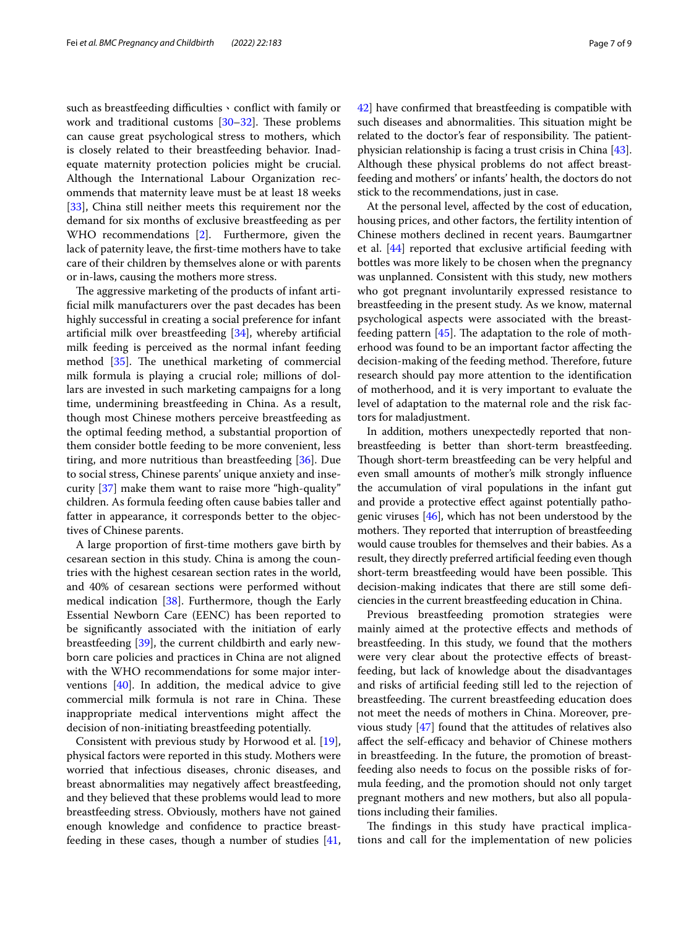such as breastfeeding difficulties v conflict with family or work and traditional customs  $[30-32]$  $[30-32]$  $[30-32]$ . These problems can cause great psychological stress to mothers, which is closely related to their breastfeeding behavior. Inadequate maternity protection policies might be crucial. Although the International Labour Organization recommends that maternity leave must be at least 18 weeks [[33\]](#page-8-20), China still neither meets this requirement nor the demand for six months of exclusive breastfeeding as per WHO recommendations [[2\]](#page-7-1). Furthermore, given the lack of paternity leave, the frst-time mothers have to take care of their children by themselves alone or with parents or in-laws, causing the mothers more stress.

The aggressive marketing of the products of infant artifcial milk manufacturers over the past decades has been highly successful in creating a social preference for infant artifcial milk over breastfeeding [[34\]](#page-8-21), whereby artifcial milk feeding is perceived as the normal infant feeding method  $[35]$ . The unethical marketing of commercial milk formula is playing a crucial role; millions of dollars are invested in such marketing campaigns for a long time, undermining breastfeeding in China. As a result, though most Chinese mothers perceive breastfeeding as the optimal feeding method, a substantial proportion of them consider bottle feeding to be more convenient, less tiring, and more nutritious than breastfeeding [[36\]](#page-8-23). Due to social stress, Chinese parents' unique anxiety and insecurity [[37\]](#page-8-24) make them want to raise more "high-quality" children. As formula feeding often cause babies taller and fatter in appearance, it corresponds better to the objectives of Chinese parents.

A large proportion of frst-time mothers gave birth by cesarean section in this study. China is among the countries with the highest cesarean section rates in the world, and 40% of cesarean sections were performed without medical indication [\[38](#page-8-25)]. Furthermore, though the Early Essential Newborn Care (EENC) has been reported to be signifcantly associated with the initiation of early breastfeeding [[39\]](#page-8-26), the current childbirth and early newborn care policies and practices in China are not aligned with the WHO recommendations for some major interventions [[40](#page-8-27)]. In addition, the medical advice to give commercial milk formula is not rare in China. These inappropriate medical interventions might afect the decision of non-initiating breastfeeding potentially.

Consistent with previous study by Horwood et al. [\[19](#page-8-7)], physical factors were reported in this study. Mothers were worried that infectious diseases, chronic diseases, and breast abnormalities may negatively afect breastfeeding, and they believed that these problems would lead to more breastfeeding stress. Obviously, mothers have not gained enough knowledge and confdence to practice breastfeeding in these cases, though a number of studies  $[41, 6]$  $[41, 6]$  $[41, 6]$  [42](#page-8-29)] have confrmed that breastfeeding is compatible with such diseases and abnormalities. This situation might be related to the doctor's fear of responsibility. The patientphysician relationship is facing a trust crisis in China [\[43](#page-8-30)]. Although these physical problems do not afect breast-

stick to the recommendations, just in case. At the personal level, afected by the cost of education, housing prices, and other factors, the fertility intention of Chinese mothers declined in recent years. Baumgartner et al. [\[44](#page-8-31)] reported that exclusive artifcial feeding with bottles was more likely to be chosen when the pregnancy was unplanned. Consistent with this study, new mothers who got pregnant involuntarily expressed resistance to breastfeeding in the present study. As we know, maternal psychological aspects were associated with the breastfeeding pattern  $[45]$  $[45]$  $[45]$ . The adaptation to the role of motherhood was found to be an important factor afecting the decision-making of the feeding method. Therefore, future research should pay more attention to the identifcation of motherhood, and it is very important to evaluate the level of adaptation to the maternal role and the risk factors for maladjustment.

feeding and mothers' or infants' health, the doctors do not

In addition, mothers unexpectedly reported that nonbreastfeeding is better than short-term breastfeeding. Though short-term breastfeeding can be very helpful and even small amounts of mother's milk strongly infuence the accumulation of viral populations in the infant gut and provide a protective efect against potentially pathogenic viruses [\[46\]](#page-8-33), which has not been understood by the mothers. They reported that interruption of breastfeeding would cause troubles for themselves and their babies. As a result, they directly preferred artifcial feeding even though short-term breastfeeding would have been possible. This decision-making indicates that there are still some defciencies in the current breastfeeding education in China.

Previous breastfeeding promotion strategies were mainly aimed at the protective efects and methods of breastfeeding. In this study, we found that the mothers were very clear about the protective efects of breastfeeding, but lack of knowledge about the disadvantages and risks of artifcial feeding still led to the rejection of breastfeeding. The current breastfeeding education does not meet the needs of mothers in China. Moreover, previous study [[47](#page-8-34)] found that the attitudes of relatives also affect the self-efficacy and behavior of Chinese mothers in breastfeeding. In the future, the promotion of breastfeeding also needs to focus on the possible risks of formula feeding, and the promotion should not only target pregnant mothers and new mothers, but also all populations including their families.

The findings in this study have practical implications and call for the implementation of new policies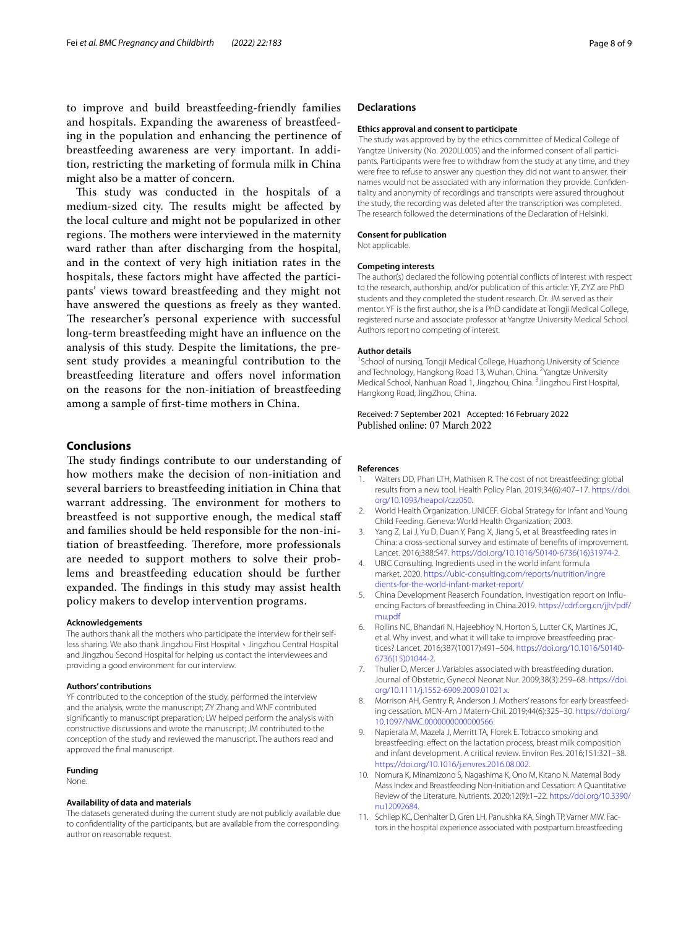to improve and build breastfeeding-friendly families and hospitals. Expanding the awareness of breastfeeding in the population and enhancing the pertinence of breastfeeding awareness are very important. In addition, restricting the marketing of formula milk in China might also be a matter of concern.

This study was conducted in the hospitals of a medium-sized city. The results might be affected by the local culture and might not be popularized in other regions. The mothers were interviewed in the maternity ward rather than after discharging from the hospital, and in the context of very high initiation rates in the hospitals, these factors might have afected the participants' views toward breastfeeding and they might not have answered the questions as freely as they wanted. The researcher's personal experience with successful long-term breastfeeding might have an infuence on the analysis of this study. Despite the limitations, the present study provides a meaningful contribution to the breastfeeding literature and offers novel information on the reasons for the non-initiation of breastfeeding among a sample of frst-time mothers in China.

## **Conclusions**

The study findings contribute to our understanding of how mothers make the decision of non-initiation and several barriers to breastfeeding initiation in China that warrant addressing. The environment for mothers to breastfeed is not supportive enough, the medical staf and families should be held responsible for the non-initiation of breastfeeding. Therefore, more professionals are needed to support mothers to solve their problems and breastfeeding education should be further expanded. The findings in this study may assist health policy makers to develop intervention programs.

#### **Acknowledgements**

The authors thank all the mothers who participate the interview for their selfless sharing. We also thank Jingzhou First Hospital、Jingzhou Central Hospital and Jingzhou Second Hospital for helping us contact the interviewees and providing a good environment for our interview.

#### **Authors' contributions**

YF contributed to the conception of the study, performed the interview and the analysis, wrote the manuscript; ZY Zhang and WNF contributed signifcantly to manuscript preparation; LW helped perform the analysis with constructive discussions and wrote the manuscript; JM contributed to the conception of the study and reviewed the manuscript. The authors read and approved the fnal manuscript.

## **Funding**

None.

#### **Availability of data and materials**

The datasets generated during the current study are not publicly available due to confdentiality of the participants, but are available from the corresponding author on reasonable request.

## **Declarations**

#### **Ethics approval and consent to participate**

 The study was approved by by the ethics committee of Medical College of Yangtze University (No. 2020LL005) and the informed consent of all participants. Participants were free to withdraw from the study at any time, and they were free to refuse to answer any question they did not want to answer. their names would not be associated with any information they provide. Confidentiality and anonymity of recordings and transcripts were assured throughout the study, the recording was deleted after the transcription was completed. The research followed the determinations of the Declaration of Helsinki.

## **Consent for publication**

Not applicable.

## **Competing interests**

The author(s) declared the following potential conficts of interest with respect to the research, authorship, and/or publication of this article: YF, ZYZ are PhD students and they completed the student research. Dr. JM served as their mentor. YF is the frst author, she is a PhD candidate at Tongji Medical College, registered nurse and associate professor at Yangtze University Medical School. Authors report no competing of interest.

#### **Author details**

<sup>1</sup> School of nursing, Tongji Medical College, Huazhong University of Science and Technology, Hangkong Road 13, Wuhan, China. <sup>2</sup> Yangtze University Medical School, Nanhuan Road 1, Jingzhou, China. <sup>3</sup> Jingzhou First Hospital, Hangkong Road, JingZhou, China.

## Received: 7 September 2021 Accepted: 16 February 2022 Published online: 07 March 2022

#### **References**

- <span id="page-7-0"></span>1. Walters DD, Phan LTH, Mathisen R. The cost of not breastfeeding: global results from a new tool. Health Policy Plan. 2019;34(6):407–17. [https://doi.](https://doi.org/10.1093/heapol/czz050) [org/10.1093/heapol/czz050](https://doi.org/10.1093/heapol/czz050).
- <span id="page-7-1"></span>2. World Health Organization. UNICEF. Global Strategy for Infant and Young Child Feeding. Geneva: World Health Organization; 2003.
- <span id="page-7-2"></span>3. Yang Z, Lai J, Yu D, Duan Y, Pang X, Jiang S, et al. Breastfeeding rates in China: a cross-sectional survey and estimate of benefts of improvement. Lancet. 2016;388:S47. [https://doi.org/10.1016/S0140-6736\(16\)31974-2](https://doi.org/10.1016/S0140-6736(16)31974-2).
- <span id="page-7-3"></span>4. UBIC Consulting. Ingredients used in the world infant formula market. 2020. [https://ubic-consulting.com/reports/nutrition/ingre](https://ubic-consulting.com/reports/nutrition/ingredients-for-the-world-infant-market-report/) [dients-for-the-world-infant-market-report/](https://ubic-consulting.com/reports/nutrition/ingredients-for-the-world-infant-market-report/)
- <span id="page-7-4"></span>5. China Development Reaserch Foundation. Investigation report on Influencing Factors of breastfeeding in China.2019. [https://cdrf.org.cn/jjh/pdf/](https://cdrf.org.cn/jjh/pdf/mu.pdf) [mu.pdf](https://cdrf.org.cn/jjh/pdf/mu.pdf)
- <span id="page-7-5"></span>6. Rollins NC, Bhandari N, Hajeebhoy N, Horton S, Lutter CK, Martines JC, et al. Why invest, and what it will take to improve breastfeeding practices? Lancet. 2016;387(10017):491–504. [https://doi.org/10.1016/S0140-](https://doi.org/10.1016/S0140-6736(15)01044-2) [6736\(15\)01044-2.](https://doi.org/10.1016/S0140-6736(15)01044-2)
- <span id="page-7-6"></span>7. Thulier D, Mercer J. Variables associated with breastfeeding duration. Journal of Obstetric, Gynecol Neonat Nur. 2009;38(3):259–68. [https://doi.](https://doi.org/10.1111/j.1552-6909.2009.01021.x) [org/10.1111/j.1552-6909.2009.01021.x.](https://doi.org/10.1111/j.1552-6909.2009.01021.x)
- <span id="page-7-7"></span>8. Morrison AH, Gentry R, Anderson J. Mothers' reasons for early breastfeeding cessation. MCN-Am J Matern-Chil. 2019;44(6):325–30. [https://doi.org/](https://doi.org/10.1097/NMC.0000000000000566) [10.1097/NMC.0000000000000566](https://doi.org/10.1097/NMC.0000000000000566).
- <span id="page-7-8"></span>9. Napierala M, Mazela J, Merritt TA, Florek E. Tobacco smoking and breastfeeding: efect on the lactation process, breast milk composition and infant development. A critical review. Environ Res. 2016;151:321–38. [https://doi.org/10.1016/j.envres.2016.08.002.](https://doi.org/10.1016/j.envres.2016.08.002)
- <span id="page-7-9"></span>10. Nomura K, Minamizono S, Nagashima K, Ono M, Kitano N. Maternal Body Mass Index and Breastfeeding Non-Initiation and Cessation: A Quantitative Review of the Literature. Nutrients. 2020;12(9):1–22. [https://doi.org/10.3390/](https://doi.org/10.3390/nu12092684) [nu12092684.](https://doi.org/10.3390/nu12092684)
- <span id="page-7-10"></span>11. Schliep KC, Denhalter D, Gren LH, Panushka KA, Singh TP, Varner MW. Factors in the hospital experience associated with postpartum breastfeeding